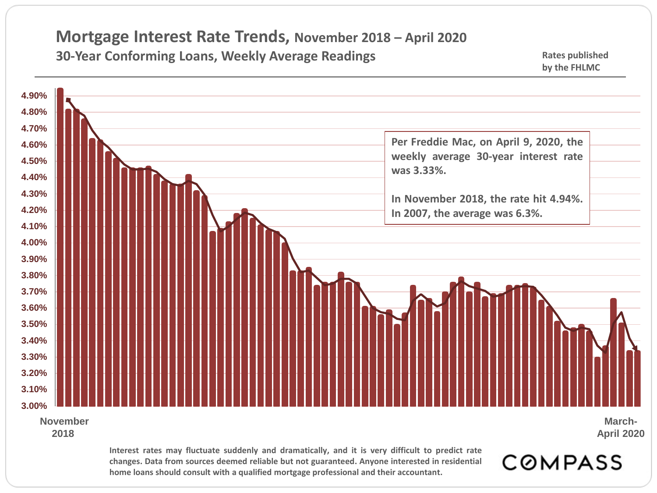## **Mortgage Interest Rate Trends, November 2018 – April 2020 30-Year Conforming Loans, Weekly Average Readings <b>Accord 2014** Rates published

**3.00% 3.10% 3.20% 3.30% 3.40% 3.50% 3.60% 3.70% 3.80% 3.90% 4.00% 4.10% 4.20% 4.30% 4.40% 4.50% 4.60% 4.70% 4.80% 4.90% Interest rates may fluctuate suddenly and dramatically, and it is very difficult to predict rate November 2018 Per Freddie Mac, on April 9, 2020, the weekly average 30-year interest rate was 3.33%. In November 2018, the rate hit 4.94%. In 2007, the average was 6.3%. March-April 2020**

**changes. Data from sources deemed reliable but not guaranteed. Anyone interested in residential home loans should consult with a qualified mortgage professional and their accountant.**

**COMPASS** 

**by the FHLMC**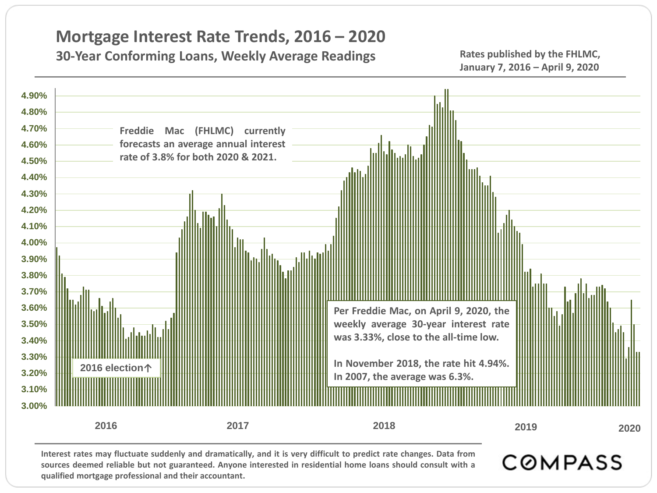## **Mortgage Interest Rate Trends, 2016 – 2020**

## **30-Year Conforming Loans, Weekly Average Readings The Rates published by the FHLMC,**

**January 7, 2016 – April 9, 2020**



**sources deemed reliable but not guaranteed. Anyone interested in residential home loans should consult with a qualified mortgage professional and their accountant.**